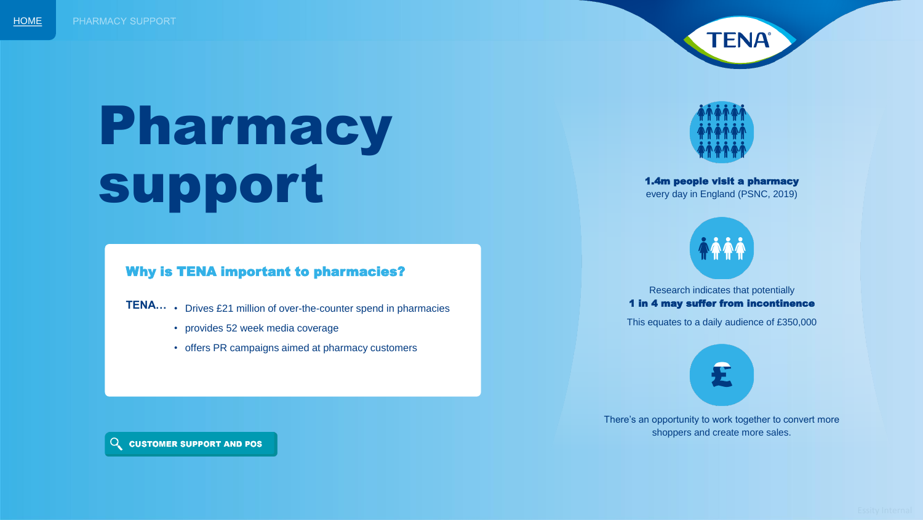

# <span id="page-0-0"></span>Pharmacy support

#### Why is TENA important to pharmacies?

- **TENA…** Drives £21 million of over-the-counter spend in pharmacies
	- provides 52 week media coverage
	- offers PR campaigns aimed at pharmacy customers



1.4m people visit a pharmacy every day in England (PSNC, 2019)



Research indicates that potentially 1 in 4 may suffer from incontinence

This equates to a daily audience of £350,000

There's an opportunity to work together to convert more shoppers and create more sales.

Q CUSTOMER SUPPORT AND POS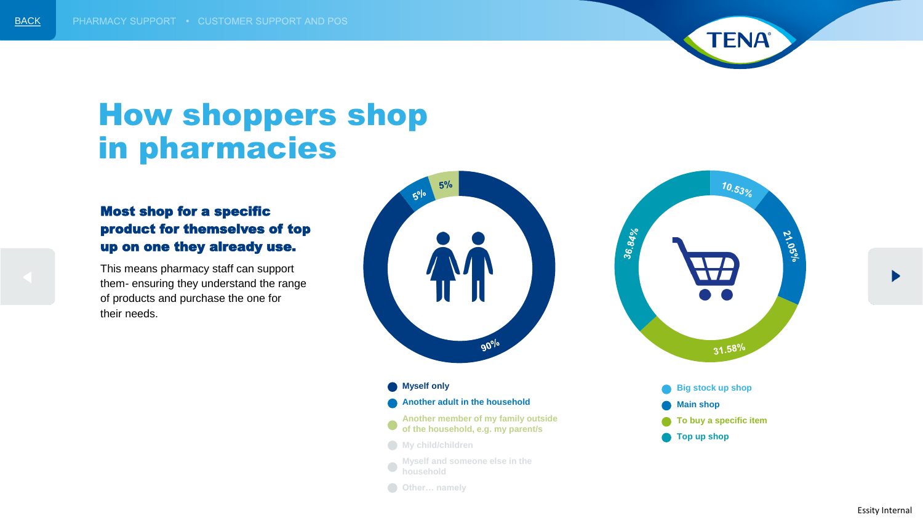

### How shoppers shop in pharmacies

### Most shop for a specific product for themselves of top up on one they already use.

This means pharmacy staff can support them- ensuring they understand the range of products and purchase the one for their needs.



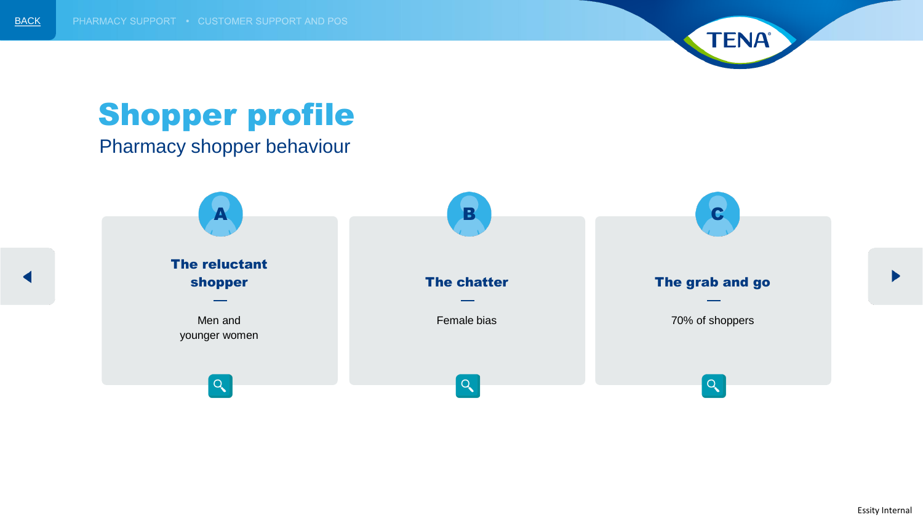

# Shopper profile

Pharmacy shopper behaviour

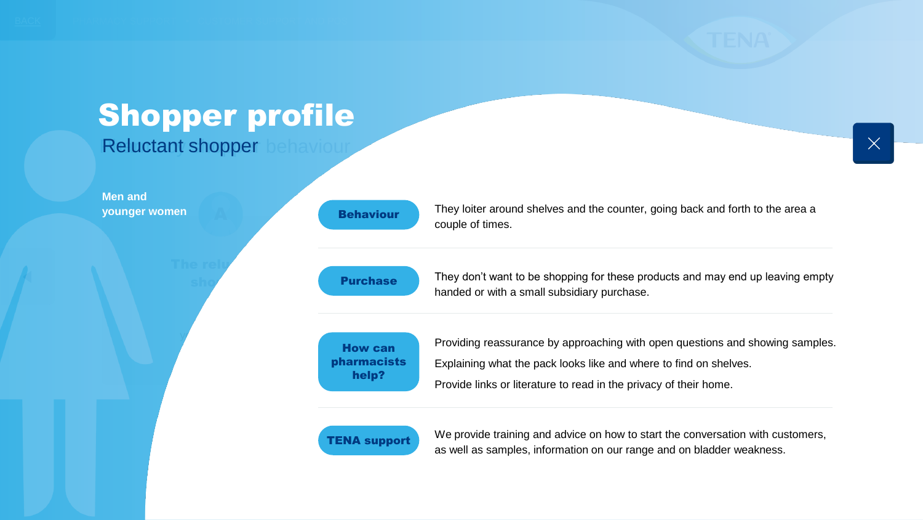### Shopper profile Shopper profile

Reluctant shopper behaviour

| <b>Men and</b><br>younger women | <b>Behaviour</b> |
|---------------------------------|------------------|
|                                 | <b>Purchase</b>  |
|                                 |                  |

| <b>Behaviour</b> |  |
|------------------|--|
|                  |  |

Purchase

They loiter around shelves and the counter, going back and forth to the area a<br>caunh of times couple of times.

They don't want to be shopping for these products and may end up leaving empty handed or with a small subsidiary purchase.



Providing reassurance by approaching with open questions and showing samples. Explaining what the pack looks like and where to find on shelves. Provide links or literature to read in the privacy of their home.



We provide training and advice on how to start the conversation with customers, as well as samples, information on our range and on bladder weakness.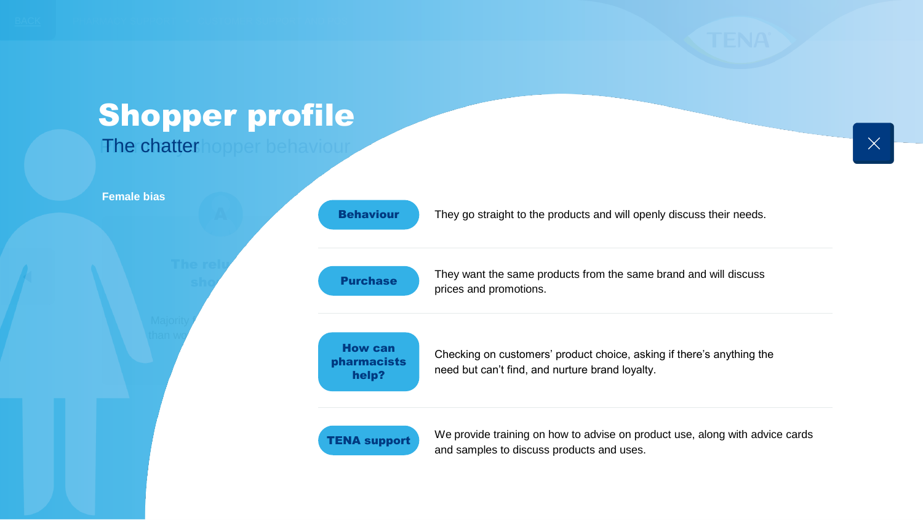

### They want the same pro-They want the same products from the same brand and will discuss<br>prises and premations They go straight to the products and will openly discuss their needs. Shopper profile Shopper profileThe chatterhopper behaviour Majority  $f$ than  $w\sigma$ The relu sho<sup>r</sup> **Female bias** Behaviour Purchase How can

Checking on customers' product choice, asking if there's anything the need but can't find, and nurture brand loyalty.



pharmacists help?

> We provide training on how to advise on product use, along with advice cards and samples to discuss products and uses.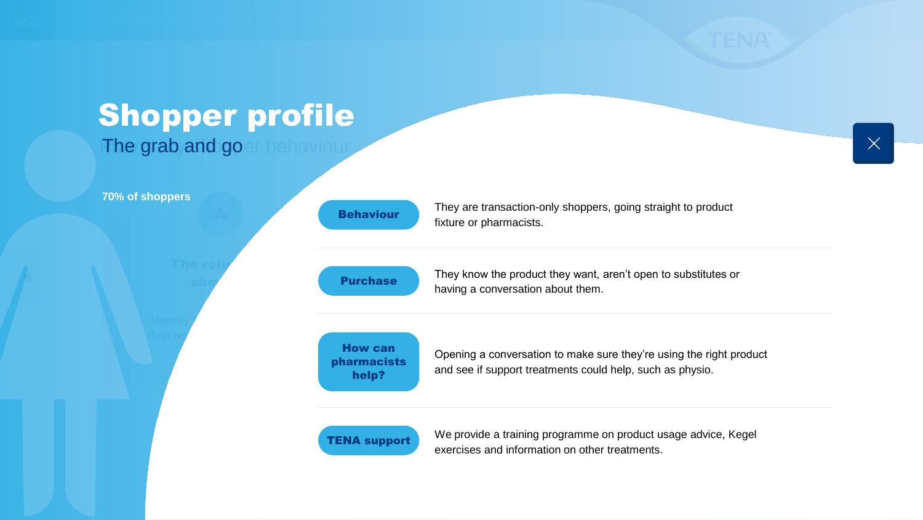

### Shopper profile Shopper profile

The grab and goer behaviour

#### **70% of shoppers**



| <b>Behaviour</b> |  |
|------------------|--|
| <b>Purchase</b>  |  |
|                  |  |

Opening a conversation to make sure they're using the right product and see if support treatments could help, such as physio.

They know the product they want, aren't open to substitutes or<br>boving a converaction about them

They are transaction-only shoppers, going straight to product<br>fixture or pharmacists

They whow the product they want, and the chatter

fixture or pharmacists.



How can pharmacists help?

> We provide a training programme on product usage advice, Kegel exercises and information on other treatments.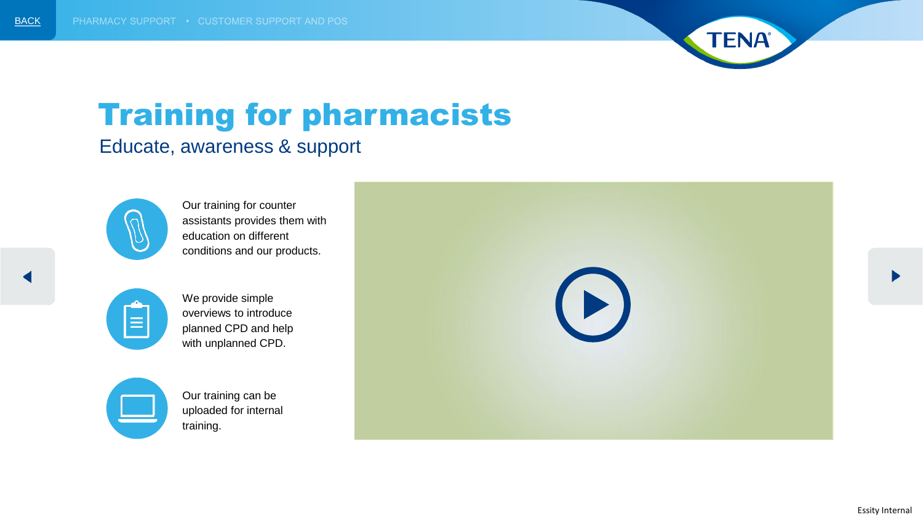

# Training for pharmacists

### Educate, awareness & support



Our training for counter assistants provides them with education on different conditions and our products.





Our training can be uploaded for internal